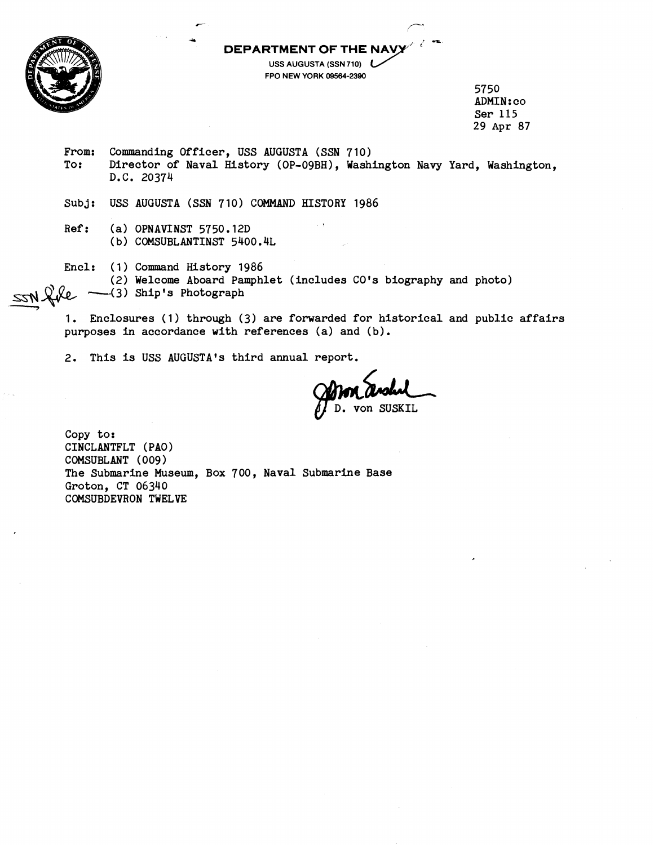**DEPARTMENT OF THE** 



**USS** AUGUSTA **(SSN 710)**  FPO **NEW** YORK **09564-2300** 

> 5750 ADMIN: co Ser 115 29 Apr **87**

- From: Commanding Officer, USS AUGUSTA (SSN 710)<br>To: Director of Naval History (OP-09BH). Wash: Director of Naval History (OP-O9BH), Washington Navy Yard, Washington, D.C. 20374
- Subj: USS AUGUSTA (SSN 710) COMMAND HISTORY 1986

\*

Ref: (a) OPNAVINST 5750.12D (b) COMSUBLANTINST 5400.4L

Encl: (1) Command History 1986

(2) Welcome Aboard Pamphlet (includes CO's biography and photo) **-.(3)** Ship's Photograph <u>55N</u> 20

1. Enclosures (1) through (3) are forwarded for historical and public affairs purposes in accordance with references (a) and (b).

2. This is USS AUGUSTA'S third annual report.

 $\oint$  D. von SUSKIL

Copy to: CINCLANTFLT (PAO) COMSUBLANT (009) The Submarine Museum, Box 700, Naval Submarine Base Groton, CT 06340 COMSUBDEVRON TWELVE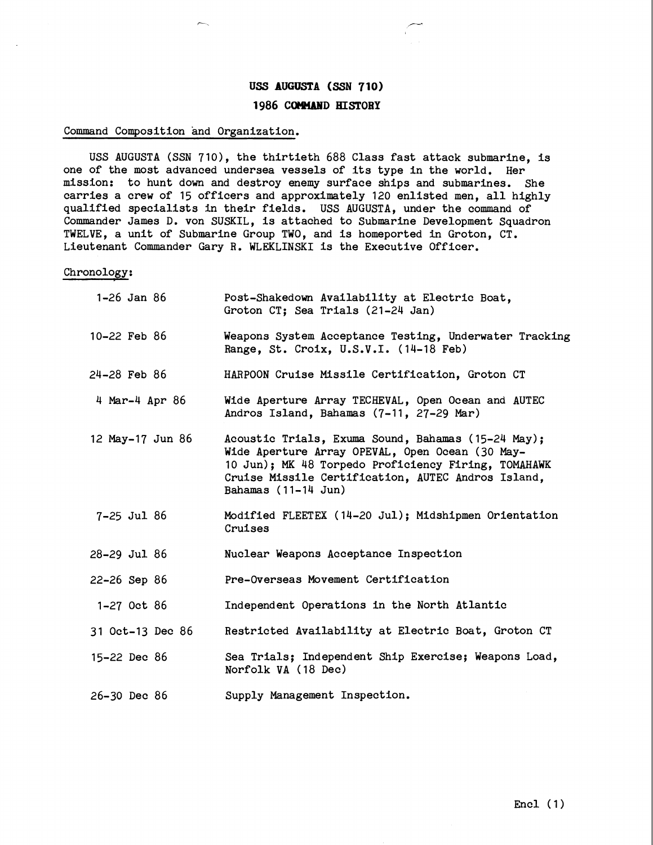## **USS AUGUSTA (SSN 710) 1986 COMAMD HISTORY**

## Command Composition and Organization.

USS AUGUSTA (SSN 710), the thirtieth 688 Class fast attack submarine, is one of the most advanced undersea vessels of its type in the world. Her mission: to hunt down and destroy enemy surface ships and submarines. She carries a crew of 15 officers and approximately 120 enlisted men, all highly qualified specialists in their fields. USS AUGUSTA, under the command of Commander James D. von SUSKIL, is attached to Submarine Development Squadron TWELVE, a unit of Submarine Group TWO, and is homeported in Groton, CT. Lieutenant Commander Gary R. WLEKLINSKI is the Executive Officer.

## Chronology:

| 1 <b>–</b> 26 Jan 86 | Post-Shakedown Availability at Electric Boat,<br>Groton CT; Sea Trials (21-24 Jan)                                                                                                                                                                  |
|----------------------|-----------------------------------------------------------------------------------------------------------------------------------------------------------------------------------------------------------------------------------------------------|
| 10-22 Feb 86         | Weapons System Acceptance Testing, Underwater Tracking<br>Range, St. Croix, U.S.V.I. (14-18 Feb)                                                                                                                                                    |
| $24 - 28$ Feb $86$   | HARPOON Cruise Missile Certification, Groton CT                                                                                                                                                                                                     |
| 4 Mar-4 Apr 86       | Wide Aperture Array TECHEVAL, Open Ocean and AUTEC<br>Andros Island, Bahamas (7-11, 27-29 Mar)                                                                                                                                                      |
| 12 May-17 Jun 86     | Acoustic Trials, Exuma Sound, Bahamas (15-24 May);<br>Wide Aperture Array OPEVAL, Open Ocean (30 May-<br>10 Jun); MK 48 Torpedo Proficiency Firing, TOMAHAWK<br>Cruise Missile Certification, AUTEC Andros Island,<br>Bahamas $(11-14 \text{ Jun})$ |
| $7 - 25$ Jul 86      | Modified FLEETEX (14-20 Jul); Midshipmen Orientation<br>Cruises                                                                                                                                                                                     |
| 28-29 Jul 86         | Nuclear Weapons Acceptance Inspection                                                                                                                                                                                                               |
| $22 - 26$ Sep 86     | Pre-Overseas Movement Certification                                                                                                                                                                                                                 |
| 1-27 Oct 86          | Independent Operations in the North Atlantic                                                                                                                                                                                                        |
| 31 Oct-13 Dec 86     | Restricted Availability at Electric Boat, Groton CT                                                                                                                                                                                                 |
| $15 - 22$ Dec 86     | Sea Trials; Independent Ship Exercise; Weapons Load,<br>Norfolk VA (18 Dec)                                                                                                                                                                         |
| 26-30 Dec 86         | Supply Management Inspection.                                                                                                                                                                                                                       |